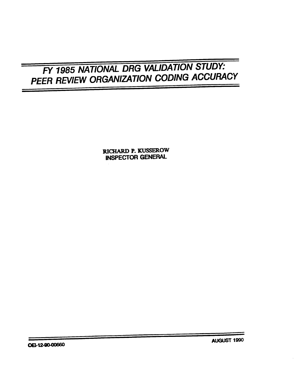# FY 1985 NATIONAL DRG VALIDATION STUDY: PEER REVIEW ORGANIZATION CODING ACCURACY

RICHARD P. KUSSEROW INSPECTOR GENERA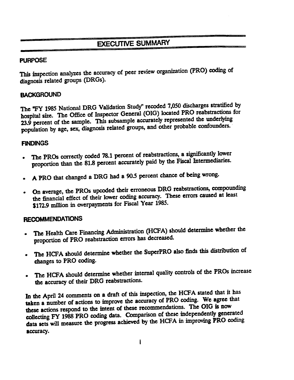## **EXECUTIVE SUMMARY**

#### **PURPOSE**

This inspection analyzes the accuracy of peer review organization (PRO) coding of diagnosis related groups (DRGs).

#### **BACKGROUND**

The "FY 1985 National DRG Validation Study" recoded 7,050 discharges stratified by hospital size. The Office of Inspector General (OIG) located PRO reabstractions for 23.9 percent of the sample. This subsample accurately represented the underlying population by age, sex, diagnosis related groups, and other probable confounders.

#### **FINDINGS**

- The PROs correctly coded 78.1 percent of reabstractions, a significantly lower proportion than the 81.8 percent accurately paid by the Fiscal Intermediaries.
- A PRO that changed a DRG had a 90.5 percent chance of being wrong.
- On average, the PROs upcoded their erroneous DRG reabstractions, compounding the financial effect of their lower coding accuracy. These errors caused at least \$172.9 million in overpayments for Fiscal Year 1985.

#### **RECOMMENDATIONS**

- The Health Care Financing Administration (HCFA) should determine whether the  $\bullet$ proportion of PRO reabstraction errors has decreased.
- The HCFA should determine whether the SuperPRO also finds this distribution of changes to PRO coding.
- The HCFA should determine whether internal quality controls of the PROs increase  $\bullet$ the accuracy of their DRG reabstractions.

In the April 24 comments on a draft of this inspection, the HCFA stated that it has taken a number of actions to improve the accuracy of PRO coding. We agree that these actions respond to the intent of these recommendations. The OIG is now collecting FY 1988 PRO coding data. Comparison of these independently generated data sets will measure the progress achieved by the HCFA in improving PRO coding accuracy.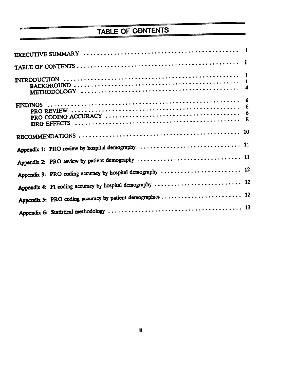## TABLE OF CONTENTS

 $\bar{z}$ 

| 6<br>$\boldsymbol{6}$ |
|-----------------------|
|                       |
|                       |
|                       |
|                       |
|                       |
|                       |
|                       |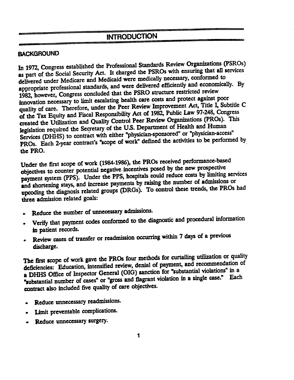### **INTRODUCTION**

#### **BACKGROUND**

In 1972, Congress established the Professional Standards Review Organizations (PSROs) as part of the Social Security Act. It charged the PSROs with ensuring that all services delivered under Medicare and Medicaid were medically necessary, conformed to appropriate professional standards, and were delivered efficiently and economically. By 1982, however, Congress concluded that the PSRO structure restricted review innovation necessary to limit escalating health care costs and protect against poor quality of care. Therefore, under the Peer Review Improvement Act, Title I, Subtitle C of the Tax Equity and Fiscal Responsibility Act of 1982, Public Law 97-248, Congress created the Utilization and Quality Control Peer Review Organizations (PROs). This legislation required the Secretary of the U.S. Department of Health and Human Services (DHHS) to contract with either "physician-sponsored" or "physician-access" PROs. Each 2-year contract's "scope of work" defined the activities to be performed by the PRO.

Under the first scope of work (1984-1986), the PROs received performance-based objectives to counter potential negative incentives posed by the new prospective payment system (PPS). Under the PPS, hospitals could reduce costs by limiting services and shortening stays, and increase payments by raising the number of admissions or upcoding the diagnosis related groups (DRGs). To control these trends, the PROs had three admission related goals:

- Reduce the number of unnecessary admissions.
- Verify that payment codes conformed to the diagnostic and procedural information in patient records.
- Review cases of transfer or readmission occurring within 7 days of a previous discharge.

The first scope of work gave the PROs four methods for curtailing utilization or quality deficiencies: Education, intensified review, denial of payment, and recommendation of a DHHS Office of Inspector General (OIG) sanction for "substantial violations" in a "substantial number of cases" or "gross and flagrant violation in a single case." Each contract also included five quality of care objectives.

- Reduce unnecessary readmissions.
- Limit preventable complications.  $\bullet$
- Reduce unnecessary surgery.  $\bullet$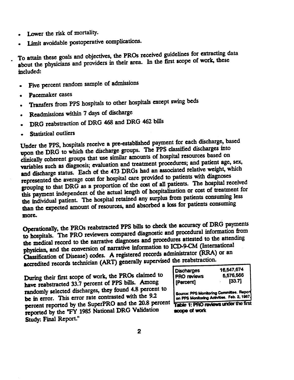- Lower the risk of mortality.
- Limit avoidable postoperative complications.

To attain these goals and objectives, the PROs received guidelines for extracting data about the physicians and providers in their area. In the first scope of work, these included:

- Five percent random sample of admissions
- Pacemaker cases
- Transfers from PPS hospitals to other hospitals except swing beds
- Readmissions within 7 days of discharge  $\bullet$
- DRG reabstraction of DRG 468 and DRG 462 bills  $\bullet$
- **Statistical outliers**

Under the PPS, hospitals receive a pre-established payment for each discharge, based upon the DRG to which the discharge groups. The PPS classified discharges into clinically coherent groups that use similar amounts of hospital resources based on variables such as diagnosis; evaluation and treatment procedures; and patient age, sex, and discharge status. Each of the 473 DRGs had an associated relative weight, which represented the average cost for hospital care provided to patients with diagnoses grouping to that DRG as a proportion of the cost of all patients. The hospital received this payment independent of the actual length of hospitalization or cost of treatment for the individual patient. The hospital retained any surplus from patients consuming less than the expected amount of resources, and absorbed a loss for patients consuming more.

Operationally, the PROs reabstracted PPS bills to check the accuracy of DRG payments to hospitals. The PRO reviewers compared diagnostic and procedural information from the medical record to the narrative diagnoses and procedures attested to the attending physician, and the conversion of narrative information to ICD-9-CM (International Classification of Disease) codes. A registered records administrator (RRA) or an accredited records technician (ART) generally supervised the reabstraction.

During their first scope of work, the PROs claimed to have reabstracted 33.7 percent of PPS bills. Among randomly selected discharges, they found 4.8 percent to be in error. This error rate contrasted with the 9.2 percent reported by the SuperPRO and the 20.8 percent reported by the "FY 1985 National DRG Validation Study: Final Report."

| <b>Discharges</b>  | 16,547,674 |
|--------------------|------------|
| <b>PRO reviews</b> | 5,576,566  |
| [Percent]          | [33.7]     |

Source: PPS Monitoring Committee. Report on PPS Monitoring Activities. Feb. 2, 1987.

Table 1: PRO reviews under the first scope of work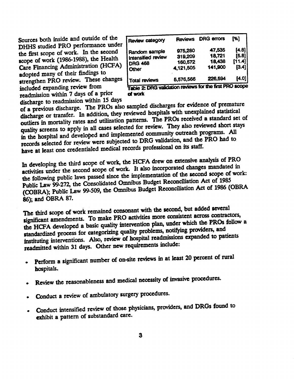Sources both inside and outside of the DHHS studied PRO performance under the first scope of work. In the second scope of work (1986-1988), the Health Care Financing Administration (HCFA) adopted many of their findings to strengthen PRO review. These changes included expanding review from readmission within 7 days of a prior discharge to readmission within 15 days

| Review category                                                       | <b>Reviews</b>                             | <b>DRG errors</b>                          | [%]                               |
|-----------------------------------------------------------------------|--------------------------------------------|--------------------------------------------|-----------------------------------|
| Random sample<br>Intensified review<br><b>DRG 468</b><br><b>Other</b> | 975,280<br>319,209<br>160,572<br>4,121.505 | 47,535<br>18,721<br>18,438<br>141,900      | [4.8]<br>[5.8]<br>[11.4]<br>[3.4] |
| <b>Total reviews</b>                                                  | 5,576,566                                  | 226,594<br>is in contains for the first PR | [4.0]                             |

**Table 2: DRG validation reviews for** of work

of a previous discharge. The PROs also sampled discharges for evidence of premature discharge or transfer. In addition, they reviewed hospitals with unexplained statistical outliers in mortality rates and utilization patterns. The PROs received a standard set of quality screens to apply in all cases selected for review. They also reviewed short stays in the hospital and developed and implemented community outreach programs. All records selected for review were subjected to DRG validation, and the PRO had to have at least one credentialed medical records professional on its staff.

In developing the third scope of work, the HCFA drew on extensive analysis of PRO activities under the second scope of work. It also incorporated changes mandated in the following public laws passed since the implementation of the second scope of work: Public Law 99-272, the Consolidated Omnibus Budget Reconciliation Act of 1985 (COBRA); Public Law 99-509, the Omnibus Budget Reconciliation Act of 1986 (OBRA 86); and OBRA 87.

The third scope of work remained consonant with the second, but added several significant amendments. To make PRO activities more consistent across contractors, the HCFA developed a basic quality intervention plan, under which the PROs follow a standardized process for categorizing quality problems, notifying providers, and instituting interventions. Also, review of hospital readmissions expanded to patients readmitted within 31 days. Other new requirements include:

- Perform a significant number of on-site reviews in at least 20 percent of rural  $\bullet$ hospitals.
- Review the reasonableness and medical necessity of invasive procedures.
- Conduct a review of ambulatory surgery procedures.
- Conduct intensified review of those physicians, providers, and DRGs found to exhibit a pattern of substandard care.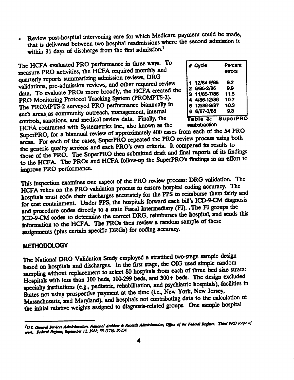- Review post-hospital intervening care for which Medicare payment could be made, that is delivered between two hospital readmissions where the second admission is within 31 days of discharge from the first admission.<sup>1</sup>

The HCFA evaluated PRO performance in three ways. To measure PRO activities, the HCFA required monthly and quarterly reports summarizing admission reviews, DRG validations, pre-admission reviews, and other required review data. To evaluate PROs more broadly, the HCFA created the PRO Monitoring Protocol Tracking System (PROMPTS-2). The PROMPTS-2 surveyed PRO performance biannually in such areas as community outreach, management, internal controls, sanctions, and medical review data. Finally, the HCFA contracted with Systemetrics Inc., also known as the

| # Cycle         | Percent<br><b>errors</b> |
|-----------------|--------------------------|
| 12/84-9/85      | 9.2                      |
| 2 6/85-2/86     | 9.9                      |
| 11/85-7/86<br>3 | 11.5                     |
| 4 4/86-12/86    | 10.7                     |
| 5 12/86-9/87    | 10.3                     |
| 6 6/87-3/88     | 9.3                      |

SuperPRO, for a biannual review of approximately 400 cases from each of the 54 PRO areas. For each of the cases, SuperPRO repeated the PRO review process using both the generic quality screens and each PRO's own criteria. It compared its results to those of the PRO. The SuperPRO then submitted draft and final reports of its findings to the HCFA. The PROs and HCFA follow-up the SuperPRO's findings in an effort to improve PRO performance.

This inspection examines one aspect of the PRO review process: DRG validation. The HCFA relies on the PRO validation process to ensure hospital coding accuracy. The hospitals must code their discharges accurately for the PPS to reimburse them fairly and for cost containment. Under PPS, the hospitals forward each bill's ICD-9-CM diagnosis and procedure codes directly to a state Fiscal Intermediary (FI). The FI groups the ICD-9-CM codes to determine the correct DRG, reimburses the hospital, and sends this information to the HCFA. The PROs then review a random sample of these assignments (plus certain specific DRGs) for coding accuracy.

#### **METHODOLOGY**

The National DRG Validation Study employed a stratified two-stage sample design based on hospitals and discharges. In the first stage, the OIG used simple random sampling without replacement to select 80 hospitals from each of three bed size strata: Hospitals with less than 100 beds, 100-299 beds, and 300+ beds. The design excluded specialty institutions (e.g., pediatric, rehabilitation, and psychiatric hospitals), facilities in States not using prospective payment at the time (i.e., New York, New Jersey, Massachusetts, and Maryland), and hospitals not contributing data to the calculation of the initial relative weights assigned to diagnosis-related groups. One sample hospital

<sup>1</sup>U.S. General Services Administration, National Archives & Records Administration, Office of the Federal Register. Third PRO scope of work. Federal Register, September 12, 1988; 53 (176): 35234.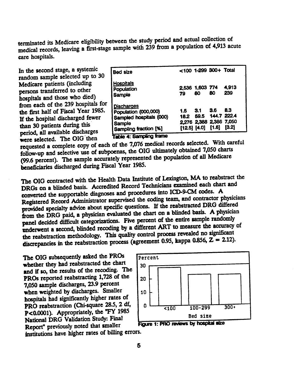terminated its Medicare eligibility between the study period and actual collection of medical records, leaving a first-stage sample with 239 from a population of 4,913 acute care hospitals.

In the second stage, a systemic random sample selected up to 30 Medicare patients (including persons transferred to other hospitals and those who died) from each of the 239 hospitals for the first half of Fiscal Year 1985. If the hospital discharged fewer than 30 patients during this period, all available discharges were selected. The OIG then

| <b>Bed size</b>                                                                                                       |     |                       | <100 1-299 300+ Total                                   |                                |  |
|-----------------------------------------------------------------------------------------------------------------------|-----|-----------------------|---------------------------------------------------------|--------------------------------|--|
| <u>  Hospitals</u><br><b>Population</b><br><b>Sample</b>                                                              | 79  | 2,536 1,603 774<br>80 | 80                                                      | 4,913<br>239                   |  |
| <b>Discharges</b><br>Population (000,000)<br>Sampled hospitals (000)<br><b>Sample</b><br><b>Sampling fraction [%]</b> | 1.5 | 3.1                   | 36<br>18.2 59.5 144.7 222.4<br>[12.5] [4.0] [1.6] [3.2] | 8.3<br>2,276 2,388 2,386 7,050 |  |

requested a complete copy of each of the 7,076 medical records selected. With careful follow-up and selective use of subpoenas, the OIG ultimately obtained 7,050 charts (99.6 percent). The sample accurately represented the population of all Medicare beneficiaries discharged during Fiscal Year 1985.

The OIG contracted with the Health Data Institute of Lexington, MA to reabstract the DRGs on a blinded basis. Accredited Record Technicians examined each chart and converted the supportable diagnoses and procedures into ICD-9-CM codes. A Registered Record Administrator supervised the coding team, and contractor physicians provided specialty advice about specific questions. If the reabstracted DRG differed from the DRG paid, a physician evaluated the chart on a blinded basis. A physician panel decided difficult categorizations. Five percent of the entire sample randomly underwent a second, blinded recoding by a different ART to measure the accuracy of the reabstraction methodology. This quality control process revealed no significant discrepancies in the reabstraction process (agreement 0.95, kappa 0.856,  $Z = 2.12$ ).

The OIG subsequently asked the PROs whether they had reabstracted the chart and if so, the results of the recoding. The PROs reported reabstracting 1,728 of the 7,050 sample discharges, 23.9 percent when weighted by discharges. Smaller hospitals had significantly higher rates of PRO reabstraction (Chi-square 28.5, 2 df, P<0.0001). Appropriately, the "FY 1985 National DRG Validation Study: Final Report" previously noted that smaller institutions have higher rates of billing errors.



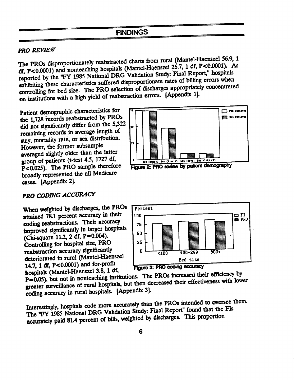#### PRO REVIEW

The PROs disproportionately reabstracted charts from rural (Mantel-Haenszel 56.9, 1 df,  $P < 0.0001$ ) and nonteaching hospitals (Mantel-Haenszel 26.7, 1 df,  $P < 0.0001$ ). As reported by the "FY 1985 National DRG Validation Study: Final Report," hospitals exhibiting these characteristics suffered disproportionate rates of billing errors when exhibiting these characteristics suffered disproportionally controlling for bed size. The PRO selection of discharges appropriately concentrated controlling for bed size. The PRO selection errors [Appendix 1]. on institutions with a high yield of reabstraction errors. [Appendix 1].

the 1,728 records reabstracted by PROs did not significantly differ from the 5,322  $\Big|_{\infty}$ remaining records in average length of stay, mortality rate, or sex distribution. However, the former subsample averaged slightly older than the latter group of patients (t-test 4.5, 1727 df, group of patients (t-test 4.5, 1727 ui,<br>P<0.025). The PRO sample therefore Figure 2: PRO review by patient demography broadly represented the all Medicare cases. [Appendix 2].



### PRO CODING ACCURACY

When weighted by discharges, the PROs  $\sqrt{\frac{Percent}{100}}$ attained 78.1 percent accuracy in their coding reabstractions. Their accuracy  $\Big|$  75 improved significantly in larger hospitals (Chi-square 11.2, 2 df,  $P=0.004$ ). Controlling for hospital size, PRO reabstraction accuracy significantly deteriorated in rul (Mantel-Haensl . S eO size 14.7, 1 df,  $P < 0.0001$ ) and for-pro deteriorated in rural (Mantel-Fraenszel<br>14.7, 1 df, P<0.0001) and for-profit<br>hospitals (Mantel-Haenszel 3.8, 1 df,<br>hospitals (Mantel-Haenszel 3.8, 1 df,



 $P=0.05$ ), but not in nonteaching institutions. The PROs increased their effectiveness with low greater surveillance of rural hospitals, but then decreased their effectiveness with lower coding accuracy in rural hospitals. [Appendix 3].

Interestingly, hospitals code more accurately than the PROs intended to oversee them.<br>Final Beport found that the FIs The "FY 1985 National DRG Validation Study: Final Report" found that the 1<br>The "FY 1985 National DRG Validation Study: Final Report" found that the 1 accurately paid 81.4 percent of bills, weighted by discharges. This proportion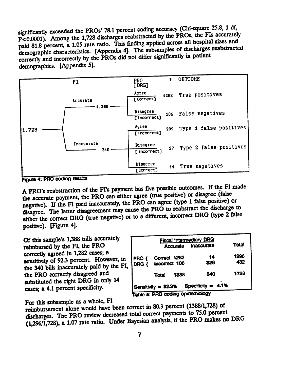significantly exceeded the PROs' 78.1 percent coding accuracy (Chi-square 25.8, 1 df, P<0.0001). Among the 1,728 discharges reabstracted by the PROs, the FIs accurately paid 81.8 percent, a 1.05 rate ratio. This finding applied across all hospital sizes and demographic characteristics. [Appendix 4]. The subsamples of discharges reabstracted correctly and incorrectly by the PROs did not differ significantly in patient demographics. [Appendix 5].



Figure 4: PRO coding results

A PRO's reabstraction of the FI's payment has five possible outcomes. If the FI made the accurate payment, the PRO can either agree (true positive) or disagree (false negative). If the FI paid inaccurately, the PRO can agree (type 1 false positive) or disagree. The latter disagreement may cause the PRO to reabstract the discharge to either the correct DRG (true negative) or to a different, incorrect DRG (type 2 false positive). [Figure 4].

Of this sample's 1,388 bills accurately reimbursed by the FI, the PRO correctly agreed in 1,282 cases; a sensitivity of 92.3 percent. However, in the 340 bills inaccurately paid by the FI, the PRO correctly disagreed and substituted the right DRG in only 14 cases; a 4.1 percent specificity.

| <b>Fiscal Intermediary DRG</b>            |                       |       |
|-------------------------------------------|-----------------------|-------|
|                                           | Accurate Inaccurate   | Total |
| Correct 1282                              | 14                    | 1296  |
| PRO { Correct 1282<br>DRG { incorrect 106 | 326                   | 432   |
| 1388<br><b>Total</b>                      | 340                   | 1728  |
| Sensitivity = 92.3%                       | Specificity = $4.1\%$ |       |

For this subsample as a whole, FI

reimbursement alone would have been correct in 80.3 percent (1388/1,728) of discharges. The PRO review decreased total correct payments to 75.0 percent (1,296/1,728), a 1.07 rate ratio. Under Bayesian analysis, if the PRO makes no DRG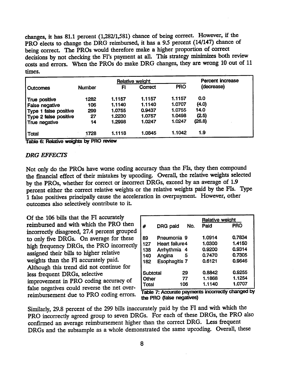changes, it has 81.1 percent (1,282/1,581) chance of being correct. However, if the PRO elects to change the DRG reimbursed, it has a 9.5 percent (14/147) chance of being correct. The PROs would therefore make a higher proportion of correct decisions by not checking the FI's payment at all. This strategy minimizes both review being correct. The PROs would therefore make a higher proportion of correct<br>decisions by not checking the FI's payment at all. This strategy minimizes both review<br>costs and errors. When the PROs do make DRG changes, they a

|                       | <b>Relative weight</b> |        |         |            | Percent increase |
|-----------------------|------------------------|--------|---------|------------|------------------|
| Outcomes              | <b>Number</b>          | FI     | Correct | <b>PRO</b> | (decrease)       |
| True positive         | 1282                   | 1.1157 | 1.1157  | 1.1157     | 0.0              |
| False negative        | 106                    | 1.1140 | 1.1140  | 1.0707     | (4.0)            |
| Type 1 false positive | 299                    | 1.0755 | 0.9437  | 1.0755     | 14.0             |
| Type 2 false positive | 27                     | 1.2230 | 1.0757  | 1.0498     | (2.5)            |
| True negative         | 14                     | 1.2998 | 1.0247  | 1.0247     | (26.8)           |
| <b>Total</b>          | 1728                   | 1.1118 | 1.0845  | 1.1042     | 1.9              |

Table 6: Relative weights by PRO review

#### DRG EFFECT

Not only do the PROs have worse coding accuracy than the FIs, they then compound the fiancial effect of their mitakes by upcoding. Overall, the relative weights selected by the PROs, whether for correct or incorrect DRGs, exceed by an average of 1.9 percent either the correct relative weights or the relative weights paid by the FIs. Type 1 false positives principally cause the acceleration in overpayment. However, other outcomes also selectively contribute to it.

Of the 106 bills that the FI accurately reimbursed and with which the PRO then incorrecty diagreed, 27.4 percent grouped to only five DRGs. On average for these high frequency DRGs, the PRO incorrectly assigned their bills to higher relative<br>weights than the FI accurately paid. 182 Esophagitis 7 0.6121 0.9646 Although this trend did not continue for less frequent DRGs, selective<br>improvement in PRO coding accuracy of false negatives could reverse the net overimprovement in PRO coding accuracy of<br>false negatives could reverse the net over-<br>reimbursement due to PRO coding errors. Table 7: Accurate payments incorrectly change<br>the PRO (false negatives)

|          |                        |     | <b>Relative weight</b> |            |
|----------|------------------------|-----|------------------------|------------|
| #        | DRG paid               | No. | Paid                   | <b>PRO</b> |
|          |                        |     |                        |            |
| 89       | Pneumonia 9            |     | 1.0914                 | 0.7834     |
| 127      | <b>Heart failure 4</b> |     | 1.0300                 | 1.4150     |
| 138      | Arrhythmia 4           |     | 0.9200                 | 0.9314     |
| 140      | Angina                 | 5   | 0.7470                 | 0.7305     |
| 182      | <b>Esophagitis 7</b>   |     | 0.6121                 | 0.9646     |
|          |                        |     |                        |            |
| Subtotal |                        | 29  | 0.8842                 | 0.9255     |
| Other    |                        | 77  | 1.1868                 | 1.1254     |
| Total    |                        | 106 | 1.1140                 | 1.0707     |

|                           |  | Table 7: Accurate payments incorrectly changed by |
|---------------------------|--|---------------------------------------------------|
| the PRO (false negatives) |  |                                                   |

Similarly, 29.8 percent of the 299 bils inaccurately paid by the FI and with which the PRO incorrectly agreed group to seven DRGs. For each of these DRGs, the PRO also confrmed an average reimbursement higher than the correct DRG. Less frequent DRGs and the subsample as a whole demonstrated the same upcoding. Overall, these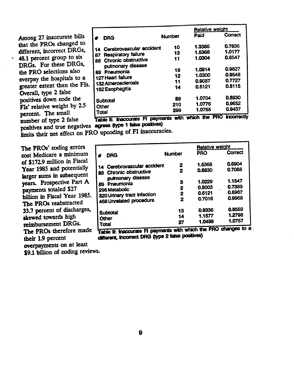Among 27 inaccurate bills that the PROs changed to different, incorrect DRGs, 48.1 percent group to six DRGs. For these DRGs, the PRO selections also overpay the hospitals to a greater extent than the FIs. Overall, type 2 false positives down code the FIs' relative weight by 2.5 percent. The small number of type 2 false

|       |                                             |               | Relative weight |                         |
|-------|---------------------------------------------|---------------|-----------------|-------------------------|
|       | <b>DRG</b>                                  | <b>Number</b> | Paid            | Correct                 |
|       | 14 Cerebrovascular accident                 | 10            | 1.3386          | 0.7836                  |
| 87    | <b>Respiratory failure</b>                  | 13            | 1.5368          | 1.0177                  |
|       | 88 Chronic obstructive<br>pulmonary disease | 11            | 1.0304          | 0.8547                  |
|       | 89 Pneumonia                                | - 18          | 1.0914          | 0.9827                  |
|       | 127 Heart failure                           | 12            | 1.0300          | 0.9548                  |
|       | 132 Atherosclerosis                         | 11            | 0.9087          | 0.7727                  |
|       | 182 Esophagitis                             | 14            | 0.6121          | 0.8115                  |
|       | Subtotal                                    | 89            | 1.0704          | 0.8930                  |
|       |                                             | 210           | 1.0776          | 0.9652                  |
| Total | <b>Other</b>                                | 299           | 1.0755          | 0.9437                  |
|       | –                                           | $-$           | which the       | PRO<br><i>incorrect</i> |

Table 8: Inaccurate FI payments with wi positives and true negatives agrees (type 1 false positives)

limits their net effect on PRO upcoding of FI inaccuracies.

The PROs' coding errors cost Medicare a minimum of \$172.9 million in Fiscal Year 1985 and potentially larger sums in subsequent years. Prospective Part A payments totaled \$27 billion in Fiscal Year 1985. The PROs reabstracted 33.7 percent of discharges, skewed towards high reimbursement DRGs. The PROs therefore made their 1.9 percent overpayments on at least \$9.1 billion of coding reviews.

|       |                               |               | <b>Relative weight</b> |                             |  |
|-------|-------------------------------|---------------|------------------------|-----------------------------|--|
|       | DRG                           | <b>Number</b> | PRO                    | Correct                     |  |
|       | 14 Cerebrovascular accident   | 2             | 1.5368                 | 0.6904                      |  |
|       | <b>88 Chronic obstructive</b> | 2             | 0.8830                 | 0.7088                      |  |
|       | pulmonary disease             | 3             | 1.0229                 | 1.1547                      |  |
| 89.   | Pneumonia<br>296 Metabolic    | 2             | 0.8003                 | 0.7389                      |  |
|       | 320 Urinary tract infection   | 2             | 0.6121                 | 0.6967                      |  |
|       | 468 Unrelated procedure       | 2             | 0.7016                 | 0.9968                      |  |
|       | Subtotal                      | 13            | 0.9336                 | 0.8559                      |  |
|       | <b>Other</b>                  | 14            | 1.1577                 | 1.2798                      |  |
| Total |                               | 27            | 1.0498<br>---<br>. .   | 1.0757<br>iti kacamatan din |  |

Table 9: Inaccurate FI payments with which the PRO changes to a different, incorrect DRG (type 2 false positives)

 $\mathbf{9}$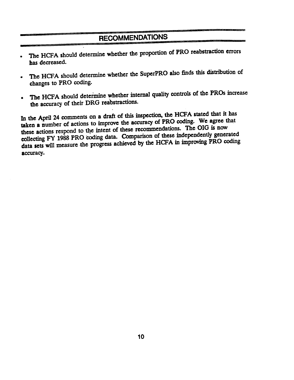## RECOMMENDATIONS

- The HCFA should determine whether the proportion of PRO reabstraction errors has decreased.
- The HCFA should determine whether the SuperPRO also finds this distribution of  $\bullet$ changes to PRO coding.
- . The HCFA should determine whether internal quality controls of the PROs increase the accuracy of their DRG reabstractions.

In the April 24 comments on a draft of this inspection, the HCFA stated that it has taken a number of actions to improve the accuracy of PRO coding. We agree that these actions respond to the intent of these recommendations. The OIG is now collecting FY 1988 PRO coding data. Comparison of these independently generated data sets will measure the progress achieved by the HCFA in improving PRO coding accuracy.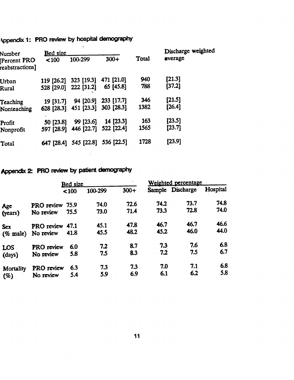| Number                           | <u>Bed size</u> |                                  |            |       | Discharge weighted |
|----------------------------------|-----------------|----------------------------------|------------|-------|--------------------|
| Percent $PRO$<br>reabstractions] | < 100           | 100-299                          | $300+$     | Total | average            |
| Urban                            | 119 [26.2]      | 323 [19.3]                       | 471 [21.0] | 940   | [21.3]             |
| Rural                            | 528 [29.0]      | 222 [31.2]                       | 65 [45.8]  | 788   | [37.2]             |
| Teaching                         | 19 [31.7]       | 94 [20.9]                        | 233 [17.7] | 346   | [21.5]             |
| Nonteaching                      |                 | 628 [28.3] 451 [23.3] 303 [28.3] |            | 1382  | [26.4]             |
| Profit                           | 50 [23.8]       | 99 [23.6]                        | 14 [23.3]  | 163   | [23.5]             |
| Nonprofit                        |                 | 597 [28.9] 446 [22.7] 522 [22.4] |            | 1565  | [23.7]             |
| Total                            |                 | 647 [28.4] 545 [22.8]            | 536 [22.5] | 1728  | [23.9]             |

Appendix 1: PRO review by hospital demography

## Appendix 2: PRO review by patient demography

 $\sim 10^{-11}$ 

|                  | Bed size          |       |         | Weighted percentage |        |                  |          |
|------------------|-------------------|-------|---------|---------------------|--------|------------------|----------|
|                  |                   | < 100 | 100-299 | $300+$              |        | Sample Discharge | Hospital |
| Age              | PRO review        | 75.9  | 74.0    | 72.6                | 74.2   | 73.7             | 74.8     |
| (years)          | No review         | 75.5  | 73.0    | 71.4                | 73.3   | 72.8             | 74.0     |
| <b>Sex</b>       | PRO review 47.1   |       | 45.1    | 47.8                | 46.7   | 46.7             | 46.6     |
| $(\%$ male)      | No review         | 41.8  | 45.5    | 48.2                | 45.2   | 46.0             | 44.0     |
| LOS              | <b>PRO</b> review | 6.0   | 7.2     | 8.7                 | 7.3    | 7.6              | 6.8      |
| (days)           | No review         | 5.8   | 7.5     | 8.3                 | $-7.2$ | 7.5              | 6.7      |
| <b>Mortality</b> | <b>PRO</b> review | 6.3   | 7.3     | 7.3                 | 7.0    | 7.1              | 6.8      |
| (%)              | No review         | 5.4   | 5.9     | 6.9                 | 6.1    | 6.2              | 5.8      |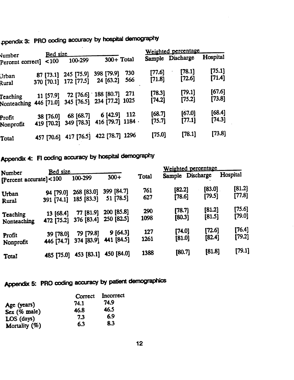|  | ppendix 3: PRO coding accuracy by hospital demograph, |  |  |  |
|--|-------------------------------------------------------|--|--|--|
|--|-------------------------------------------------------|--|--|--|

 $\mathcal{L}_{\mathcal{A}}$ 

| Vumber                                                        | Bed size |           |                                                      | Weighted percentage     |            |                  |                    |                    |
|---------------------------------------------------------------|----------|-----------|------------------------------------------------------|-------------------------|------------|------------------|--------------------|--------------------|
| Percent correct]                                              |          | < 100     | 100-299                                              | $300+$ Total            |            |                  | Sample Discharge   | Hospital           |
| Urban<br>Rural                                                |          |           | 87 [73.1] 245 [75.9]<br>370 [70.1] 172 [77.5]        | 398 [79.9]<br>24 [63.2] | 730<br>566 | [77.6]<br>[71.8] | [78.1]<br>$[72.6]$ | [75.1]<br>[71.4]   |
| Teaching<br>Nonteaching 446 [71.0] 345 [76.5] 234 [77.2] 1025 |          | 11 [57.9] |                                                      | 72 [76.6] 188 [80.7]    | 271        | [78.3]<br>[74.2] | [79.1]<br>[75.2]   | [67.6]<br>[73.8]   |
| Profit<br>Nonprofit                                           |          | 38 [76.0] | 68 [68.7]<br>419 [70.2] 349 [78.3] 416 [79.7] 1184 · | 6 [42.9]                | 112        | [68.7]<br>[75.7] | [67.0]<br>[77.1]   | [68.4]<br>$[74.3]$ |
| Total                                                         |          |           | 457 [70.6] 417 [76.5] 422 [78.7] 1296                |                         |            | [75.0]           | [78.1]             | [73.8]             |

# Appendix 4: FI coding accuracy by hospital demography

|                                      | <u>Bed size</u> |            |            |       | Weighted percentage |        |          |
|--------------------------------------|-----------------|------------|------------|-------|---------------------|--------|----------|
| Number<br>[Percent accurate] $<$ 100 |                 | 100-299    | $300+$     | Total | Sample Discharge    |        | Hospital |
| Urban                                | 94 [79.0]       | 268 [83.0] | 399 [84.7] | 761   | [82.2]              | [83.0] | [81.2]   |
| Rural                                | 391 [74.1]      | 185 [83.3] | 51 [78.5]  | 627   | [78.6]              | [79.5] | [77.8]   |
| Teaching                             | 13 [68.4]       | 77 [81.9]  | 200 [85.8] | 290   | [78.7]              | [81.2] | [75.6]   |
| Nonteaching                          | 472 [75.2]      | 376 [83.4] | 250 [82.5] | 1098  | [80.3]              | [81.5] | [79.0]   |
| Profit                               | 39 [78.0]       | 79 [79.8]  | 9 [64.3]   | 127   | [74.0]              | [72.6] | [76.4]   |
| Nonprofit                            | 446 [74.7]      | 374 [83.9] | 441 [84.5] | 1261  | [81.0]              | [82.4] | [79.2]   |
| Total                                | 485 [75.0]      | 453 [83.1] | 450 [84.0] | 1388  | [80.7]              | [81.8] | [79.1]   |

# Appendix 5: PRO coding accuracy by patient demographics

|               | Correct | Incorrect |
|---------------|---------|-----------|
| Age (years)   | 74.1    | 74.9      |
| Sex (% male)  | 46.8    | 46.5      |
| LOS (days)    | 7.3     | 6.9       |
| Mortality (%) | 6.3     | 8.3       |